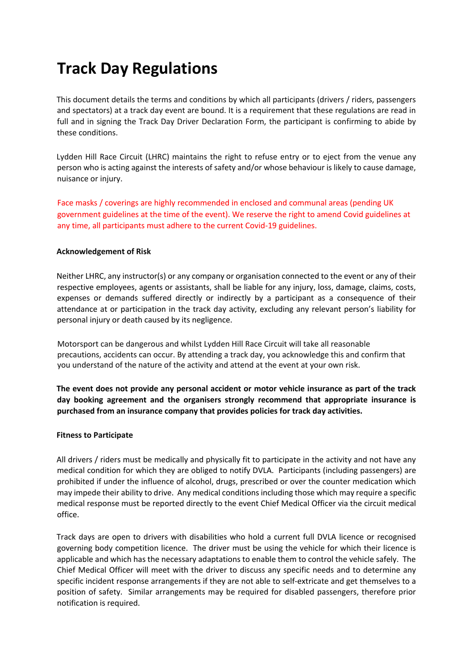# **Track Day Regulations**

This document details the terms and conditions by which all participants (drivers / riders, passengers and spectators) at a track day event are bound. It is a requirement that these regulations are read in full and in signing the Track Day Driver Declaration Form, the participant is confirming to abide by these conditions.

Lydden Hill Race Circuit (LHRC) maintains the right to refuse entry or to eject from the venue any person who is acting against the interests of safety and/or whose behaviour is likely to cause damage, nuisance or injury.

Face masks / coverings are highly recommended in enclosed and communal areas (pending UK government guidelines at the time of the event). We reserve the right to amend Covid guidelines at any time, all participants must adhere to the current Covid-19 guidelines.

### **Acknowledgement of Risk**

Neither LHRC, any instructor(s) or any company or organisation connected to the event or any of their respective employees, agents or assistants, shall be liable for any injury, loss, damage, claims, costs, expenses or demands suffered directly or indirectly by a participant as a consequence of their attendance at or participation in the track day activity, excluding any relevant person's liability for personal injury or death caused by its negligence.

Motorsport can be dangerous and whilst Lydden Hill Race Circuit will take all reasonable precautions, accidents can occur. By attending a track day, you acknowledge this and confirm that you understand of the nature of the activity and attend at the event at your own risk.

**The event does not provide any personal accident or motor vehicle insurance as part of the track day booking agreement and the organisers strongly recommend that appropriate insurance is purchased from an insurance company that provides policies for track day activities.** 

#### **Fitness to Participate**

All drivers / riders must be medically and physically fit to participate in the activity and not have any medical condition for which they are obliged to notify DVLA. Participants (including passengers) are prohibited if under the influence of alcohol, drugs, prescribed or over the counter medication which may impede their ability to drive. Any medical conditions including those which may require a specific medical response must be reported directly to the event Chief Medical Officer via the circuit medical office.

Track days are open to drivers with disabilities who hold a current full DVLA licence or recognised governing body competition licence. The driver must be using the vehicle for which their licence is applicable and which has the necessary adaptations to enable them to control the vehicle safely. The Chief Medical Officer will meet with the driver to discuss any specific needs and to determine any specific incident response arrangements if they are not able to self-extricate and get themselves to a position of safety. Similar arrangements may be required for disabled passengers, therefore prior notification is required.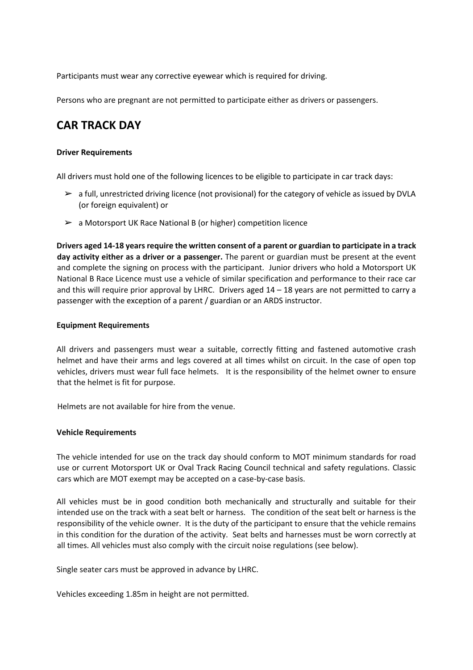Participants must wear any corrective eyewear which is required for driving.

Persons who are pregnant are not permitted to participate either as drivers or passengers.

# **CAR TRACK DAY**

#### **Driver Requirements**

All drivers must hold one of the following licences to be eligible to participate in car track days:

- $\triangleright$  a full, unrestricted driving licence (not provisional) for the category of vehicle as issued by DVLA (or foreign equivalent) or
- $\geq$  a Motorsport UK Race National B (or higher) competition licence

**Drivers aged 14-18 years require the written consent of a parent or guardian to participate in a track day activity either as a driver or a passenger.** The parent or guardian must be present at the event and complete the signing on process with the participant. Junior drivers who hold a Motorsport UK National B Race Licence must use a vehicle of similar specification and performance to their race car and this will require prior approval by LHRC. Drivers aged  $14 - 18$  years are not permitted to carry a passenger with the exception of a parent / guardian or an ARDS instructor.

### **Equipment Requirements**

All drivers and passengers must wear a suitable, correctly fitting and fastened automotive crash helmet and have their arms and legs covered at all times whilst on circuit. In the case of open top vehicles, drivers must wear full face helmets. It is the responsibility of the helmet owner to ensure that the helmet is fit for purpose.

Helmets are not available for hire from the venue.

#### **Vehicle Requirements**

The vehicle intended for use on the track day should conform to MOT minimum standards for road use or current Motorsport UK or Oval Track Racing Council technical and safety regulations. Classic cars which are MOT exempt may be accepted on a case-by-case basis.

All vehicles must be in good condition both mechanically and structurally and suitable for their intended use on the track with a seat belt or harness. The condition of the seat belt or harness is the responsibility of the vehicle owner. It is the duty of the participant to ensure that the vehicle remains in this condition for the duration of the activity. Seat belts and harnesses must be worn correctly at all times. All vehicles must also comply with the circuit noise regulations (see below).

Single seater cars must be approved in advance by LHRC.

Vehicles exceeding 1.85m in height are not permitted.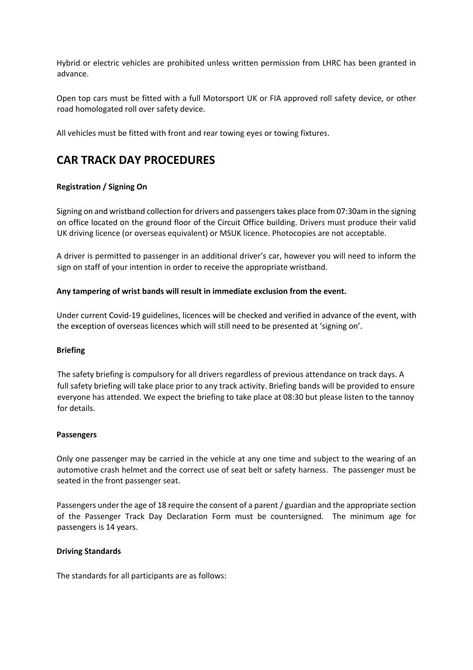Hybrid or electric vehicles are prohibited unless written permission from LHRC has been granted in advance.

Open top cars must be fitted with a full Motorsport UK or FIA approved roll safety device, or other road homologated roll over safety device.

All vehicles must be fitted with front and rear towing eyes or towing fixtures.

# **CAR TRACK DAY PROCEDURES**

## **Registration / Signing On**

Signing on and wristband collection for drivers and passengers takes place from 07:30am in the signing on office located on the ground floor of the Circuit Office building. Drivers must produce their valid UK driving licence (or overseas equivalent) or MSUK licence. Photocopies are not acceptable.

A driver is permitted to passenger in an additional driver's car, however you will need to inform the sign on staff of your intention in order to receive the appropriate wristband.

### **Any tampering of wrist bands will result in immediate exclusion from the event.**

Under current Covid-19 guidelines, licences will be checked and verified in advance of the event, with the exception of overseas licences which will still need to be presented at 'signing on'.

#### **Briefing**

The safety briefing is compulsory for all drivers regardless of previous attendance on track days. A full safety briefing will take place prior to any track activity. Briefing bands will be provided to ensure everyone has attended. We expect the briefing to take place at 08:30 but please listen to the tannoy for details.

#### **Passengers**

Only one passenger may be carried in the vehicle at any one time and subject to the wearing of an automotive crash helmet and the correct use of seat belt or safety harness. The passenger must be seated in the front passenger seat.

Passengers under the age of 18 require the consent of a parent / guardian and the appropriate section of the Passenger Track Day Declaration Form must be countersigned. The minimum age for passengers is 14 years.

#### **Driving Standards**

The standards for all participants are as follows: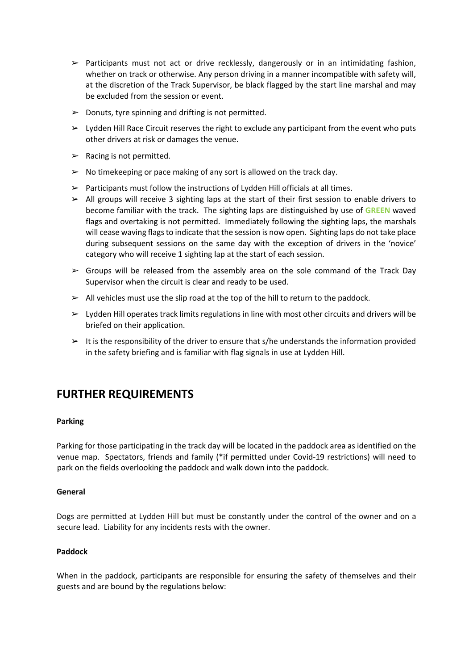- $\triangleright$  Participants must not act or drive recklessly, dangerously or in an intimidating fashion, whether on track or otherwise. Any person driving in a manner incompatible with safety will, at the discretion of the Track Supervisor, be black flagged by the start line marshal and may be excluded from the session or event.
- $\triangleright$  Donuts, tyre spinning and drifting is not permitted.
- $\triangleright$  Lydden Hill Race Circuit reserves the right to exclude any participant from the event who puts other drivers at risk or damages the venue.
- $\triangleright$  Racing is not permitted.
- $\triangleright$  No timekeeping or pace making of any sort is allowed on the track day.
- $\triangleright$  Participants must follow the instructions of Lydden Hill officials at all times.
- $\triangleright$  All groups will receive 3 sighting laps at the start of their first session to enable drivers to become familiar with the track. The sighting laps are distinguished by use of **GREEN** waved flags and overtaking is not permitted. Immediately following the sighting laps, the marshals will cease waving flags to indicate that the session is now open. Sighting laps do not take place during subsequent sessions on the same day with the exception of drivers in the 'novice' category who will receive 1 sighting lap at the start of each session.
- $\triangleright$  Groups will be released from the assembly area on the sole command of the Track Day Supervisor when the circuit is clear and ready to be used.
- $\triangleright$  All vehicles must use the slip road at the top of the hill to return to the paddock.
- $\triangleright$  Lydden Hill operates track limits regulations in line with most other circuits and drivers will be briefed on their application.
- $\triangleright$  It is the responsibility of the driver to ensure that s/he understands the information provided in the safety briefing and is familiar with flag signals in use at Lydden Hill.

# **FURTHER REQUIREMENTS**

#### **Parking**

Parking for those participating in the track day will be located in the paddock area as identified on the venue map. Spectators, friends and family (\*if permitted under Covid-19 restrictions) will need to park on the fields overlooking the paddock and walk down into the paddock.

#### **General**

Dogs are permitted at Lydden Hill but must be constantly under the control of the owner and on a secure lead. Liability for any incidents rests with the owner.

#### **Paddock**

When in the paddock, participants are responsible for ensuring the safety of themselves and their guests and are bound by the regulations below: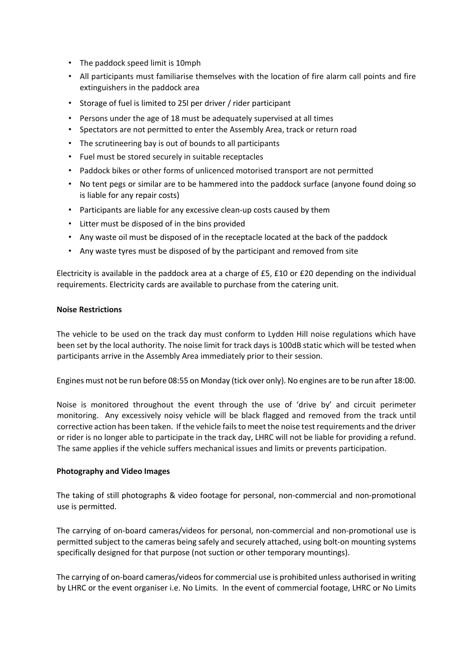- The paddock speed limit is 10mph
- All participants must familiarise themselves with the location of fire alarm call points and fire extinguishers in the paddock area
- Storage of fuel is limited to 25l per driver / rider participant
- Persons under the age of 18 must be adequately supervised at all times
- Spectators are not permitted to enter the Assembly Area, track or return road
- The scrutineering bay is out of bounds to all participants
- Fuel must be stored securely in suitable receptacles
- Paddock bikes or other forms of unlicenced motorised transport are not permitted
- No tent pegs or similar are to be hammered into the paddock surface (anyone found doing so is liable for any repair costs)
- Participants are liable for any excessive clean-up costs caused by them
- Litter must be disposed of in the bins provided
- Any waste oil must be disposed of in the receptacle located at the back of the paddock
- Any waste tyres must be disposed of by the participant and removed from site

Electricity is available in the paddock area at a charge of £5, £10 or £20 depending on the individual requirements. Electricity cards are available to purchase from the catering unit.

#### **Noise Restrictions**

The vehicle to be used on the track day must conform to Lydden Hill noise regulations which have been set by the local authority. The noise limit for track days is 100dB static which will be tested when participants arrive in the Assembly Area immediately prior to their session.

Engines must not be run before 08:55 on Monday (tick over only). No engines are to be run after 18:00.

Noise is monitored throughout the event through the use of 'drive by' and circuit perimeter monitoring. Any excessively noisy vehicle will be black flagged and removed from the track until corrective action has been taken. If the vehicle fails to meet the noise test requirements and the driver or rider is no longer able to participate in the track day, LHRC will not be liable for providing a refund. The same applies if the vehicle suffers mechanical issues and limits or prevents participation.

#### **Photography and Video Images**

The taking of still photographs & video footage for personal, non-commercial and non-promotional use is permitted.

The carrying of on-board cameras/videos for personal, non-commercial and non-promotional use is permitted subject to the cameras being safely and securely attached, using bolt-on mounting systems specifically designed for that purpose (not suction or other temporary mountings).

The carrying of on-board cameras/videos for commercial use is prohibited unless authorised in writing by LHRC or the event organiser i.e. No Limits. In the event of commercial footage, LHRC or No Limits